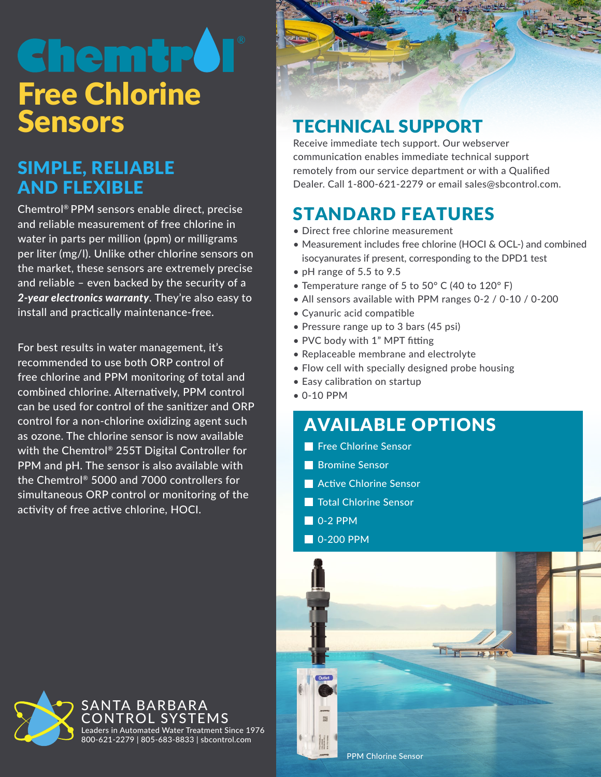# **Chemtro Free Chlorine**<br>Sensors

## SIMPLE, RELIABLE AND FLEXIBLE

Chemtrol® PPM sensors enable direct, precise and reliable measurement of free chlorine in water in parts per million (ppm) or milligrams per liter (mg/l). Unlike other chlorine sensors on the market, these sensors are extremely precise and reliable – even backed by the security of a *2-year electronics warranty*. They're also easy to install and practically maintenance-free.

For best results in water management, it's recommended to use both ORP control of free chlorine and PPM monitoring of total and combined chlorine. Alternatively, PPM control can be used for control of the sanitizer and ORP control for a non-chlorine oxidizing agent such as ozone. The chlorine sensor is now available with the Chemtrol® 255T Digital Controller for PPM and pH. The sensor is also available with the Chemtrol® 5000 and 7000 controllers for simultaneous ORP control or monitoring of the activity of free active chlorine, HOCI.

# **TECHNICAL SUPPORT**

Receive immediate tech support. Our webserver communication enables immediate technical support remotely from our service department or with a Qualified Dealer. Call 1-800-621-2279 or email sales@sbcontrol.com.

# STANDARD FEATURES

- Direct free chlorine measurement
- Measurement includes free chlorine (HOCI & OCL-) and combined isocyanurates if present, corresponding to the DPD1 test
- pH range of 5.5 to 9.5
- Temperature range of 5 to 50° C (40 to 120° F)
- All sensors available with PPM ranges 0-2 / 0-10 / 0-200
- Cyanuric acid compatible
- Pressure range up to 3 bars (45 psi)
- PVC body with 1" MPT fitting
- Replaceable membrane and electrolyte
- Flow cell with specially designed probe housing
- Easy calibration on startup
- 0-10 PPM

## AVAILABLE OPTIONS

- Free Chlorine Sensor
- **Bromine Sensor**
- **Active Chlorine Sensor**
- **The Total Chlorine Sensor**
- $\blacksquare$  0-2 PPM
- **0-200 PPM**



ANTA BARBARA ROI SYSTEMS Leaders in Automated Water Treatment Since 1976 800-621-2279 | 805-683-8833 | sbcontrol.com